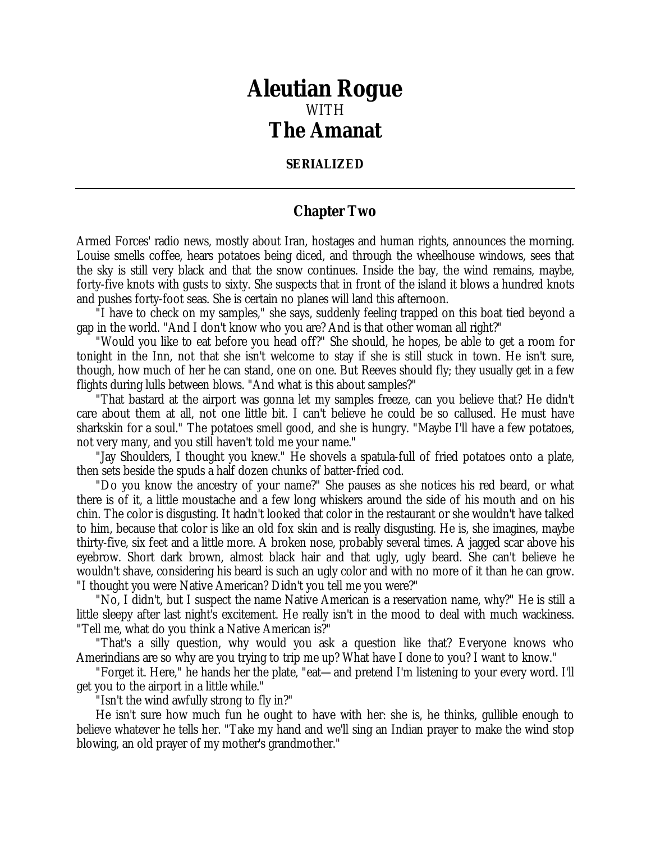## *Aleutian Rogue* WITH *The Amanat*

## **SERIALIZED**

## **Chapter Two**

Armed Forces' radio news, mostly about Iran, hostages and human rights, announces the morning. Louise smells coffee, hears potatoes being diced, and through the wheelhouse windows, sees that the sky is still very black and that the snow continues. Inside the bay, the wind remains, maybe, forty-five knots with gusts to sixty. She suspects that in front of the island it blows a hundred knots and pushes forty-foot seas. She is certain no planes will land this afternoon.

"I have to check on my samples," she says, suddenly feeling trapped on this boat tied beyond a gap in the world. "And I don't know who you are? And is that other woman all right?"

"Would you like to eat before you head off?" She should, he hopes, be able to get a room for tonight in the Inn, not that she isn't welcome to stay if she is still stuck in town. He isn't sure, though, how much of her he can stand, one on one. But Reeves should fly; they usually get in a few flights during lulls between blows. "And what is this about samples?"

"That bastard at the airport was gonna let my samples freeze, can you believe that? He didn't care about them at all, not one little bit. I can't believe he could be so callused. He must have sharkskin for a soul." The potatoes smell good, and she is hungry. "Maybe I'll have a few potatoes, not very many, and you still haven't told me your name."

"Jay Shoulders, I thought you knew." He shovels a spatula-full of fried potatoes onto a plate, then sets beside the spuds a half dozen chunks of batter-fried cod.

"Do you know the ancestry of your name?" She pauses as she notices his red beard, or what there is of it, a little moustache and a few long whiskers around the side of his mouth and on his chin. The color is disgusting. It hadn't looked that color in the restaurant or she wouldn't have talked to him, because that color is like an old fox skin and is really disgusting. He is, she imagines, maybe thirty-five, six feet and a little more. A broken nose, probably several times. A jagged scar above his eyebrow. Short dark brown, almost black hair and that ugly, ugly beard. She can't believe he wouldn't shave, considering his beard is such an ugly color and with no more of it than he can grow. "I thought you were Native American? Didn't you tell me you were?"

"No, I didn't, but I suspect the name Native American is a reservation name, why?" He is still a little sleepy after last night's excitement. He really isn't in the mood to deal with much wackiness. "Tell me, what do you think a Native American is?"

"That's a silly question, why would you ask a question like that? Everyone knows who Amerindians are so why are you trying to trip me up? What have I done to you? I want to know."

"Forget it. Here," he hands her the plate, "eat—and pretend I'm listening to your every word. I'll get you to the airport in a little while."

"Isn't the wind awfully strong to fly in?"

He isn't sure how much fun he ought to have with her: she is, he thinks, gullible enough to believe whatever he tells her. "Take my hand and we'll sing an Indian prayer to make the wind stop blowing, an old prayer of my mother's grandmother."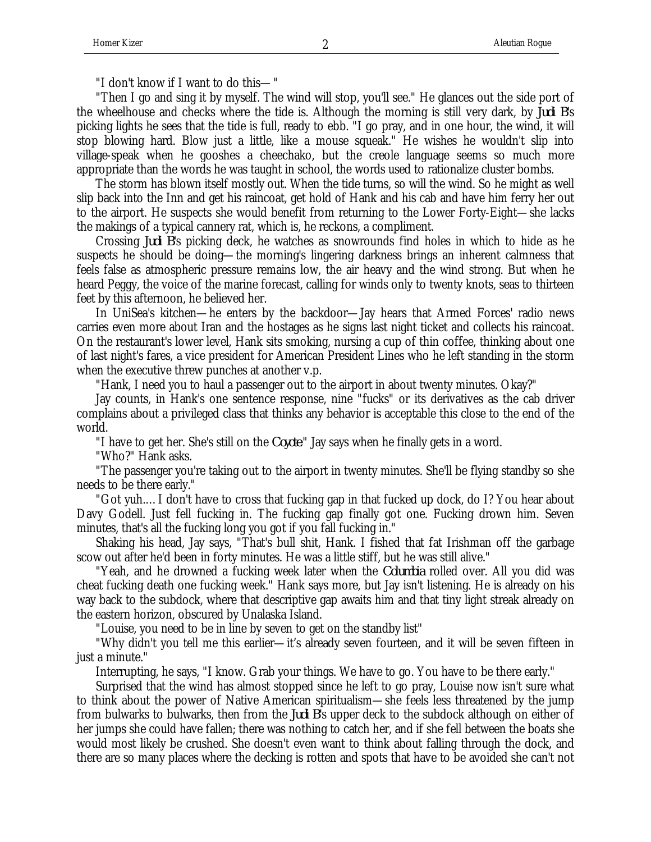"I don't know if I want to do this—"

"Then I go and sing it by myself. The wind will stop, you'll see." He glances out the side port of the wheelhouse and checks where the tide is. Although the morning is still very dark, by *Judi B*'s picking lights he sees that the tide is full, ready to ebb. "I go pray, and in one hour, the wind, it will stop blowing hard. Blow just a little, like a mouse squeak." He wishes he wouldn't slip into village-speak when he gooshes a cheechako, but the creole language seems so much more appropriate than the words he was taught in school, the words used to rationalize cluster bombs.

The storm has blown itself mostly out. When the tide turns, so will the wind. So he might as well slip back into the Inn and get his raincoat, get hold of Hank and his cab and have him ferry her out to the airport. He suspects she would benefit from returning to the Lower Forty-Eight—she lacks the makings of a typical cannery rat, which is, he reckons, a compliment.

Crossing *Judi B*'s picking deck, he watches as snowrounds find holes in which to hide as he suspects he should be doing—the morning's lingering darkness brings an inherent calmness that feels false as atmospheric pressure remains low, the air heavy and the wind strong. But when he heard Peggy, the voice of the marine forecast, calling for winds only to twenty knots, seas to thirteen feet by this afternoon, he believed her.

In UniSea's kitchen—he enters by the backdoor—Jay hears that Armed Forces' radio news carries even more about Iran and the hostages as he signs last night ticket and collects his raincoat. On the restaurant's lower level, Hank sits smoking, nursing a cup of thin coffee, thinking about one of last night's fares, a vice president for American President Lines who he left standing in the storm when the executive threw punches at another v.p.

"Hank, I need you to haul a passenger out to the airport in about twenty minutes. Okay?"

Jay counts, in Hank's one sentence response, nine "fucks" or its derivatives as the cab driver complains about a privileged class that thinks any behavior is acceptable this close to the end of the world.

"I have to get her. She's still on the *Coyote*." Jay says when he finally gets in a word.

"Who?" Hank asks.

"The passenger you're taking out to the airport in twenty minutes. She'll be flying standby so she needs to be there early."

"Got yuh.…I don't have to cross that fucking gap in that fucked up dock, do I? You hear about Davy Godell. Just fell fucking in. The fucking gap finally got one. Fucking drown him. Seven minutes, that's all the fucking long you got if you fall fucking in."

Shaking his head, Jay says, "That's bull shit, Hank. I fished that fat Irishman off the garbage scow out after he'd been in forty minutes. He was a little stiff, but he was still alive."

"Yeah, and he drowned a fucking week later when the *Columbia* rolled over. All you did was cheat fucking death one fucking week." Hank says more, but Jay isn't listening. He is already on his way back to the subdock, where that descriptive gap awaits him and that tiny light streak already on the eastern horizon, obscured by Unalaska Island.

"Louise, you need to be in line by seven to get on the standby list"

"Why didn't you tell me this earlier—it's already seven fourteen, and it will be seven fifteen in just a minute."

Interrupting, he says, "I know. Grab your things. We have to go. You have to be there early."

Surprised that the wind has almost stopped since he left to go pray, Louise now isn't sure what to think about the power of Native American spiritualism—she feels less threatened by the jump from bulwarks to bulwarks, then from the *Judi B*'s upper deck to the subdock although on either of her jumps she could have fallen; there was nothing to catch her, and if she fell between the boats she would most likely be crushed. She doesn't even want to think about falling through the dock, and there are so many places where the decking is rotten and spots that have to be avoided she can't not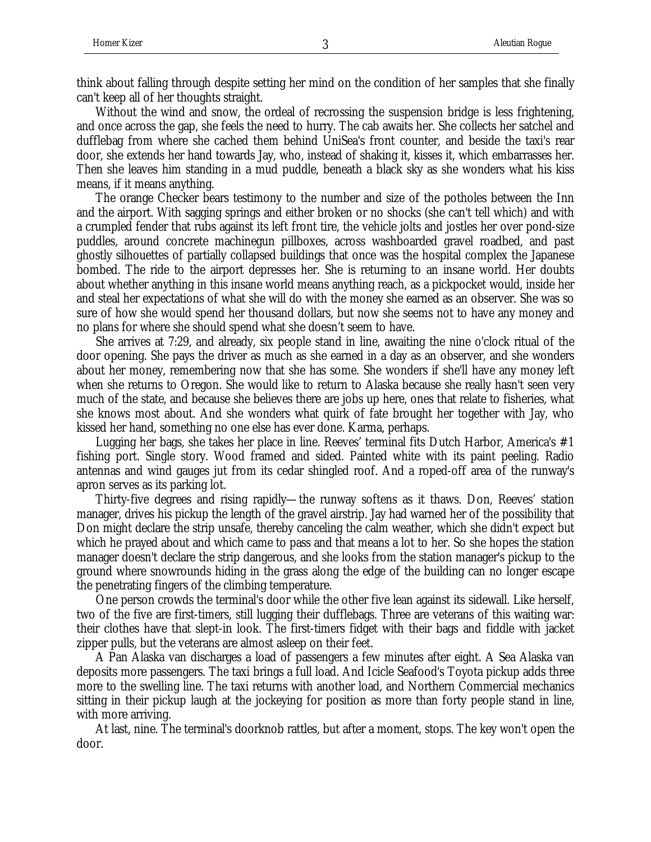think about falling through despite setting her mind on the condition of her samples that she finally can't keep all of her thoughts straight.

Without the wind and snow, the ordeal of recrossing the suspension bridge is less frightening, and once across the gap, she feels the need to hurry. The cab awaits her. She collects her satchel and dufflebag from where she cached them behind UniSea's front counter, and beside the taxi's rear door, she extends her hand towards Jay, who, instead of shaking it, kisses it, which embarrasses her. Then she leaves him standing in a mud puddle, beneath a black sky as she wonders what his kiss means, if it means anything.

The orange Checker bears testimony to the number and size of the potholes between the Inn and the airport. With sagging springs and either broken or no shocks (she can't tell which) and with a crumpled fender that rubs against its left front tire, the vehicle jolts and jostles her over pond-size puddles, around concrete machinegun pillboxes, across washboarded gravel roadbed, and past ghostly silhouettes of partially collapsed buildings that once was the hospital complex the Japanese bombed. The ride to the airport depresses her. She is returning to an insane world. Her doubts about whether anything in this insane world means anything reach, as a pickpocket would, inside her and steal her expectations of what she will do with the money she earned as an observer. She was so sure of how she would spend her thousand dollars, but now she seems not to have any money and no plans for where she should spend what she doesn't seem to have.

She arrives at 7:29, and already, six people stand in line, awaiting the nine o'clock ritual of the door opening. She pays the driver as much as she earned in a day as an observer, and she wonders about her money, remembering now that she has some. She wonders if she'll have any money left when she returns to Oregon. She would like to return to Alaska because she really hasn't seen very much of the state, and because she believes there are jobs up here, ones that relate to fisheries, what she knows most about. And she wonders what quirk of fate brought her together with Jay, who kissed her hand, something no one else has ever done. Karma, perhaps.

Lugging her bags, she takes her place in line. Reeves' terminal fits Dutch Harbor, America's #1 fishing port. Single story. Wood framed and sided. Painted white with its paint peeling. Radio antennas and wind gauges jut from its cedar shingled roof. And a roped-off area of the runway's apron serves as its parking lot.

Thirty-five degrees and rising rapidly—the runway softens as it thaws. Don, Reeves' station manager, drives his pickup the length of the gravel airstrip. Jay had warned her of the possibility that Don might declare the strip unsafe, thereby canceling the calm weather, which she didn't expect but which he prayed about and which came to pass and that means a lot to her. So she hopes the station manager doesn't declare the strip dangerous, and she looks from the station manager's pickup to the ground where snowrounds hiding in the grass along the edge of the building can no longer escape the penetrating fingers of the climbing temperature.

One person crowds the terminal's door while the other five lean against its sidewall. Like herself, two of the five are first-timers, still lugging their dufflebags. Three are veterans of this waiting war: their clothes have that slept-in look. The first-timers fidget with their bags and fiddle with jacket zipper pulls, but the veterans are almost asleep on their feet.

A Pan Alaska van discharges a load of passengers a few minutes after eight. A Sea Alaska van deposits more passengers. The taxi brings a full load. And Icicle Seafood's Toyota pickup adds three more to the swelling line. The taxi returns with another load, and Northern Commercial mechanics sitting in their pickup laugh at the jockeying for position as more than forty people stand in line, with more arriving.

At last, nine. The terminal's doorknob rattles, but after a moment, stops. The key won't open the door.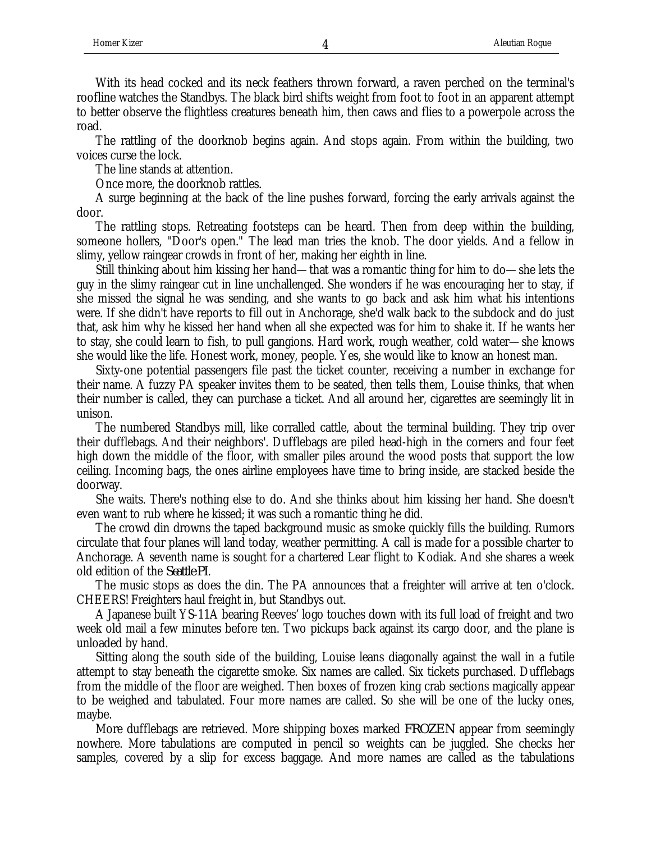With its head cocked and its neck feathers thrown forward, a raven perched on the terminal's roofline watches the Standbys. The black bird shifts weight from foot to foot in an apparent attempt to better observe the flightless creatures beneath him, then caws and flies to a powerpole across the road.

The rattling of the doorknob begins again. And stops again. From within the building, two voices curse the lock.

The line stands at attention.

Once more, the doorknob rattles.

A surge beginning at the back of the line pushes forward, forcing the early arrivals against the door.

The rattling stops. Retreating footsteps can be heard. Then from deep within the building, someone hollers, "Door's open." The lead man tries the knob. The door yields. And a fellow in slimy, yellow raingear crowds in front of her, making her eighth in line.

Still thinking about him kissing her hand—that was a romantic thing for him to do—she lets the guy in the slimy raingear cut in line unchallenged. She wonders if he was encouraging her to stay, if she missed the signal he was sending, and she wants to go back and ask him what his intentions were. If she didn't have reports to fill out in Anchorage, she'd walk back to the subdock and do just that, ask him why he kissed her hand when all she expected was for him to shake it. If he wants her to stay, she could learn to fish, to pull gangions. Hard work, rough weather, cold water—she knows she would like the life. Honest work, money, people. Yes, she would like to know an honest man.

Sixty-one potential passengers file past the ticket counter, receiving a number in exchange for their name. A fuzzy PA speaker invites them to be seated, then tells them, Louise thinks, that when their number is called, they can purchase a ticket. And all around her, cigarettes are seemingly lit in unison.

The numbered Standbys mill, like corralled cattle, about the terminal building. They trip over their dufflebags. And their neighbors'. Dufflebags are piled head-high in the corners and four feet high down the middle of the floor, with smaller piles around the wood posts that support the low ceiling. Incoming bags, the ones airline employees have time to bring inside, are stacked beside the doorway.

She waits. There's nothing else to do. And she thinks about him kissing her hand. She doesn't even want to rub where he kissed; it was such a romantic thing he did.

The crowd din drowns the taped background music as smoke quickly fills the building. Rumors circulate that four planes will land today, weather permitting. A call is made for a possible charter to Anchorage. A seventh name is sought for a chartered Lear flight to Kodiak. And she shares a week old edition of the *Seattle PI*.

The music stops as does the din. The PA announces that a freighter will arrive at ten o'clock. CHEERS! Freighters haul freight in, but Standbys out.

A Japanese built YS-11A bearing Reeves' logo touches down with its full load of freight and two week old mail a few minutes before ten. Two pickups back against its cargo door, and the plane is unloaded by hand.

Sitting along the south side of the building, Louise leans diagonally against the wall in a futile attempt to stay beneath the cigarette smoke. Six names are called. Six tickets purchased. Dufflebags from the middle of the floor are weighed. Then boxes of frozen king crab sections magically appear to be weighed and tabulated. Four more names are called. So she will be one of the lucky ones, maybe.

More dufflebags are retrieved. More shipping boxes marked *FROZEN* appear from seemingly nowhere. More tabulations are computed in pencil so weights can be juggled. She checks her samples, covered by a slip for excess baggage. And more names are called as the tabulations